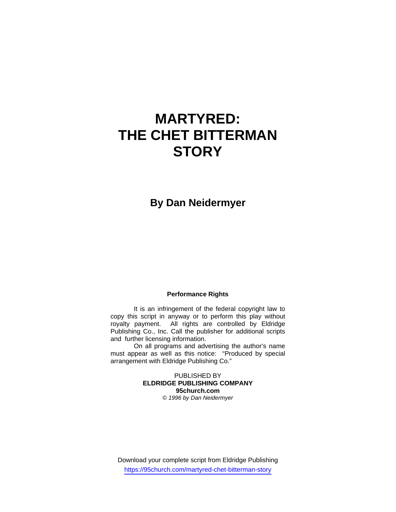# **MARTYRED: THE CHET BITTERMAN STORY**

**By Dan Neidermyer** 

### **Performance Rights**

 It is an infringement of the federal copyright law to copy this script in anyway or to perform this play without royalty payment. All rights are controlled by Eldridge Publishing Co., Inc. Call the publisher for additional scripts and further licensing information.

 On all programs and advertising the author's name must appear as well as this notice: "Produced by special arrangement with Eldridge Publishing Co."

> PUBLISHED BY **ELDRIDGE PUBLISHING COMPANY 95church.com**  *© 1996 by Dan Neidermyer*

Download your complete script from Eldridge Publishing https://95church.com/martyred-chet-bitterman-story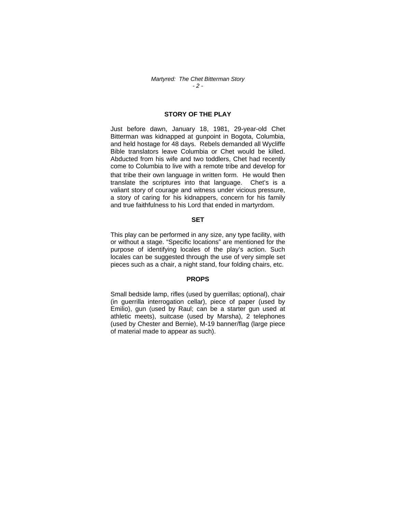#### *Martyred: The Chet Bitterman Story - 2 -*

# **STORY OF THE PLAY**

Just before dawn, January 18, 1981, 29-year-old Chet Bitterman was kidnapped at gunpoint in Bogota, Columbia, and held hostage for 48 days. Rebels demanded all Wycliffe Bible translators leave Columbia or Chet would be killed. Abducted from his wife and two toddlers, Chet had recently come to Columbia to live with a remote tribe and develop for that tribe their own language in written form. He would then translate the scriptures into that language. Chet's is a valiant story of courage and witness under vicious pressure, a story of caring for his kidnappers, concern for his family and true faithfulness to his Lord that ended in martyrdom.

#### **SET**

This play can be performed in any size, any type facility, with or without a stage. "Specific locations" are mentioned for the purpose of identifying locales of the play's action. Such locales can be suggested through the use of very simple set pieces such as a chair, a night stand, four folding chairs, etc.

#### **PROPS**

Small bedside lamp, rifles (used by guerrillas; optional), chair (in guerrilla interrogation cellar), piece of paper (used by Emilio), gun (used by Raul; can be a starter gun used at athletic meets), suitcase (used by Marsha), 2 telephones (used by Chester and Bernie), M-19 banner/flag (large piece of material made to appear as such).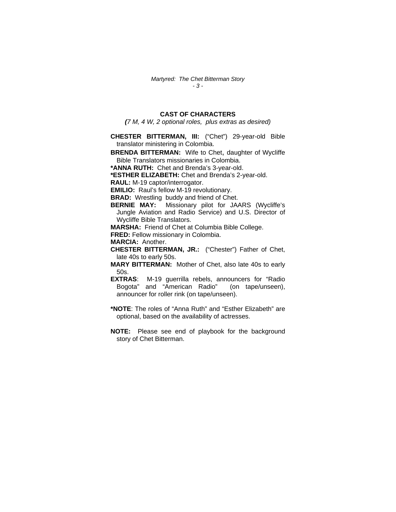# **CAST OF CHARACTERS**

*(7 M, 4 W, 2 optional roles, plus extras as desired)* 

**CHESTER BITTERMAN, III:** ("Chet") 29-year-old Bible translator ministering in Colombia.

**BRENDA BITTERMAN:** Wife to Chet, daughter of Wycliffe Bible Translators missionaries in Colombia.

**\*ANNA RUTH:** Chet and Brenda's 3-year-old.

**\*ESTHER ELIZABETH:** Chet and Brenda's 2-year-old.

**RAUL:** M-19 captor/interrogator.

**EMILIO:** Raul's fellow M-19 revolutionary.

**BRAD:** Wrestling buddy and friend of Chet.

**BERNIE MAY:** Missionary pilot for JAARS (Wycliffe's Jungle Aviation and Radio Service) and U.S. Director of Wycliffe Bible Translators.

**MARSHA:** Friend of Chet at Columbia Bible College.

**FRED:** Fellow missionary in Colombia.

**MARCIA:** Another.

- **CHESTER BITTERMAN, JR.:** ("Chester") Father of Chet, late 40s to early 50s.
- **MARY BITTERMAN:** Mother of Chet, also late 40s to early 50s.
- **EXTRAS**: M-19 guerrilla rebels, announcers for "Radio Bogota" and "American Radio" (on tape/unseen), announcer for roller rink (on tape/unseen).
- **\*NOTE**: The roles of "Anna Ruth" and "Esther Elizabeth" are optional, based on the availability of actresses.
- **NOTE:** Please see end of playbook for the background story of Chet Bitterman.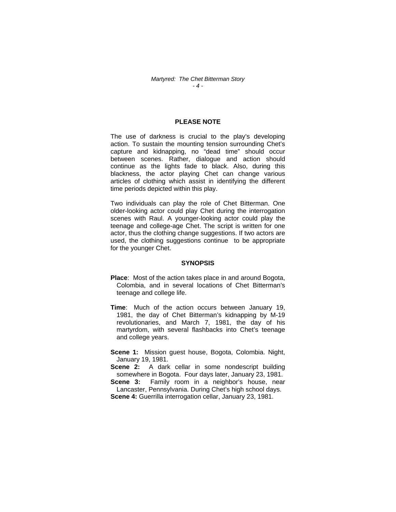## **PLEASE NOTE**

The use of darkness is crucial to the play's developing action. To sustain the mounting tension surrounding Chet's capture and kidnapping, no "dead time" should occur between scenes. Rather, dialogue and action should continue as the lights fade to black. Also, during this blackness, the actor playing Chet can change various articles of clothing which assist in identifying the different time periods depicted within this play.

Two individuals can play the role of Chet Bitterman. One older-looking actor could play Chet during the interrogation scenes with Raul. A younger-looking actor could play the teenage and college-age Chet. The script is written for one actor, thus the clothing change suggestions. If two actors are used, the clothing suggestions continue to be appropriate for the younger Chet.

#### **SYNOPSIS**

- **Place**: Most of the action takes place in and around Bogota, Colombia, and in several locations of Chet Bitterman's teenage and college life.
- **Time**: Much of the action occurs between January 19, 1981, the day of Chet Bitterman's kidnapping by M-19 revolutionaries, and March 7, 1981, the day of his martyrdom, with several flashbacks into Chet's teenage and college years.

**Scene 1:** Mission guest house, Bogota, Colombia. Night, January 19, 1981.

**Scene 2:** A dark cellar in some nondescript building somewhere in Bogota. Four days later, January 23, 1981.

**Scene 3:** Family room in a neighbor's house, near Lancaster, Pennsylvania. During Chet's high school days.

**Scene 4:** Guerrilla interrogation cellar, January 23, 1981.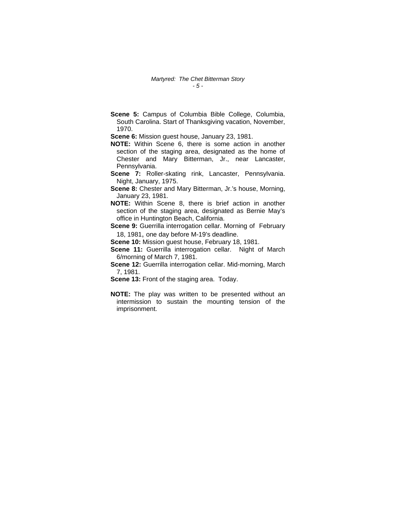**Scene 5:** Campus of Columbia Bible College, Columbia, South Carolina. Start of Thanksgiving vacation, November, 1970.

**Scene 6:** Mission guest house, January 23, 1981.

- **NOTE:** Within Scene 6, there is some action in another section of the staging area, designated as the home of Chester and Mary Bitterman, Jr., near Lancaster, Pennsylvania.
- **Scene 7:** Roller-skating rink, Lancaster, Pennsylvania. Night, January, 1975.
- **Scene 8:** Chester and Mary Bitterman, Jr.'s house, Morning, January 23, 1981.
- **NOTE:** Within Scene 8, there is brief action in another section of the staging area, designated as Bernie May's office in Huntington Beach, California.

**Scene 9:** Guerrilla interrogation cellar. Morning of February 18, 1981, one day before M-19's deadline.

**Scene 10:** Mission guest house, February 18, 1981.

**Scene 11:** Guerrilla interrogation cellar. Night of March 6/morning of March 7, 1981.

**Scene 12:** Guerrilla interrogation cellar. Mid-morning, March 7, 1981.

- **Scene 13:** Front of the staging area. Today.
- **NOTE:** The play was written to be presented without an intermission to sustain the mounting tension of the imprisonment.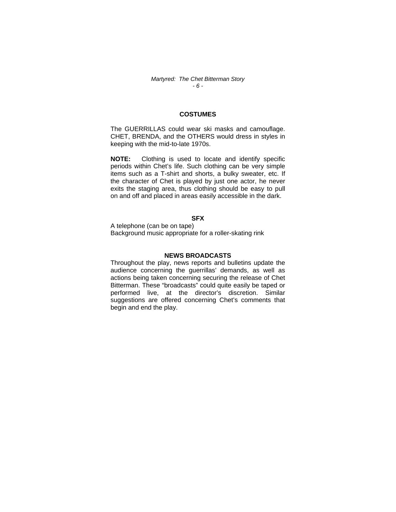# **COSTUMES**

The GUERRILLAS could wear ski masks and camouflage. CHET, BRENDA, and the OTHERS would dress in styles in keeping with the mid-to-late 1970s.

**NOTE:** Clothing is used to locate and identify specific periods within Chet's life. Such clothing can be very simple items such as a T-shirt and shorts, a bulky sweater, etc. If the character of Chet is played by just one actor, he never exits the staging area, thus clothing should be easy to pull on and off and placed in areas easily accessible in the dark.

# **SFX**

A telephone (can be on tape) Background music appropriate for a roller-skating rink

### **NEWS BROADCASTS**

Throughout the play, news reports and bulletins update the audience concerning the guerrillas' demands, as well as actions being taken concerning securing the release of Chet Bitterman. These "broadcasts" could quite easily be taped or performed live, at the director's discretion. Similar suggestions are offered concerning Chet's comments that begin and end the play.